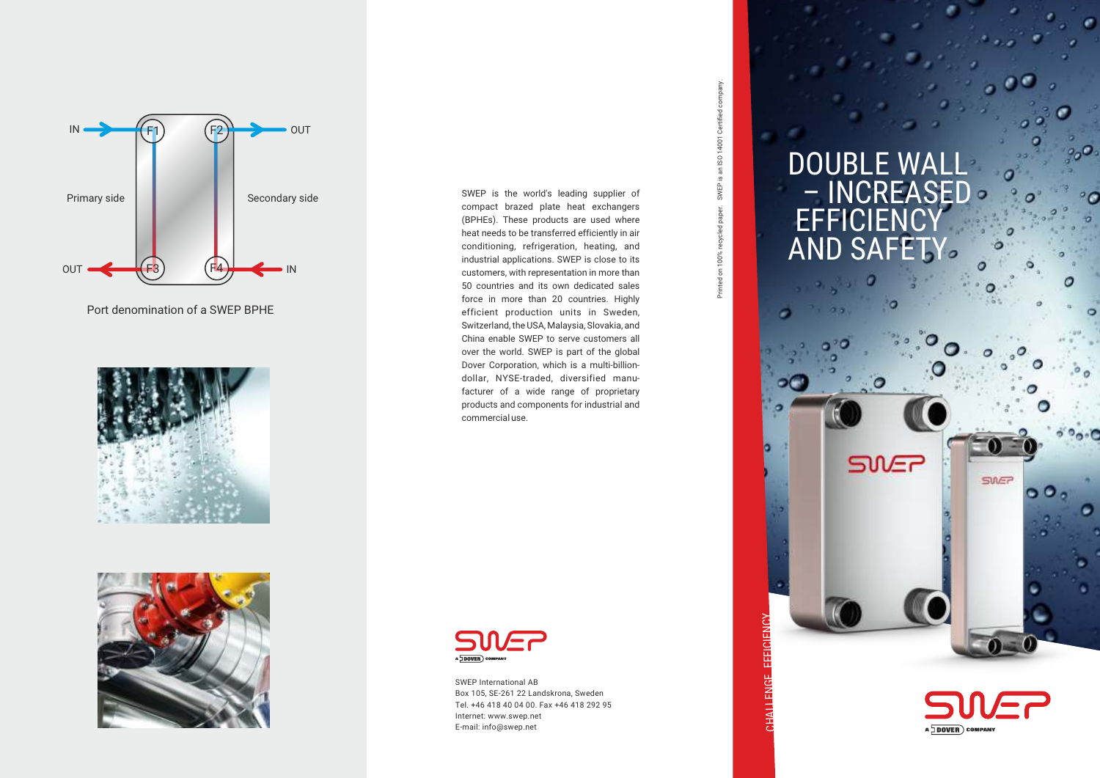

Port denomination of a SWEP BPHE





SWEP is the world's leading supplier of compact brazed plate heat exchangers (BPHEs). These products are used where heat needs to be transferred efficiently in air conditioning, refrigeration, heating, and industrial applications. SWEP is close to its customers, with representation in more than 50 countries and its own dedicated sales force in more than 20 countries. Highly efficient production units in Sweden, Switzerland, the USA, Malaysia, Slovakia, and China enable SWEP to serve customers all over the world. SWEP is part of the global Dover Corporation, which is a multi-billiondollar, NYSE-traded, diversified manufacturer of a wide range of proprietary products and components for industrial and commercial use.



SWEP International AB Box 105, SE-261 22 Landskrona, Sweden Tel. +46 418 40 04 00. Fax +46 418 292 95 Internet: www.swep.net E-mail: info@swep.net